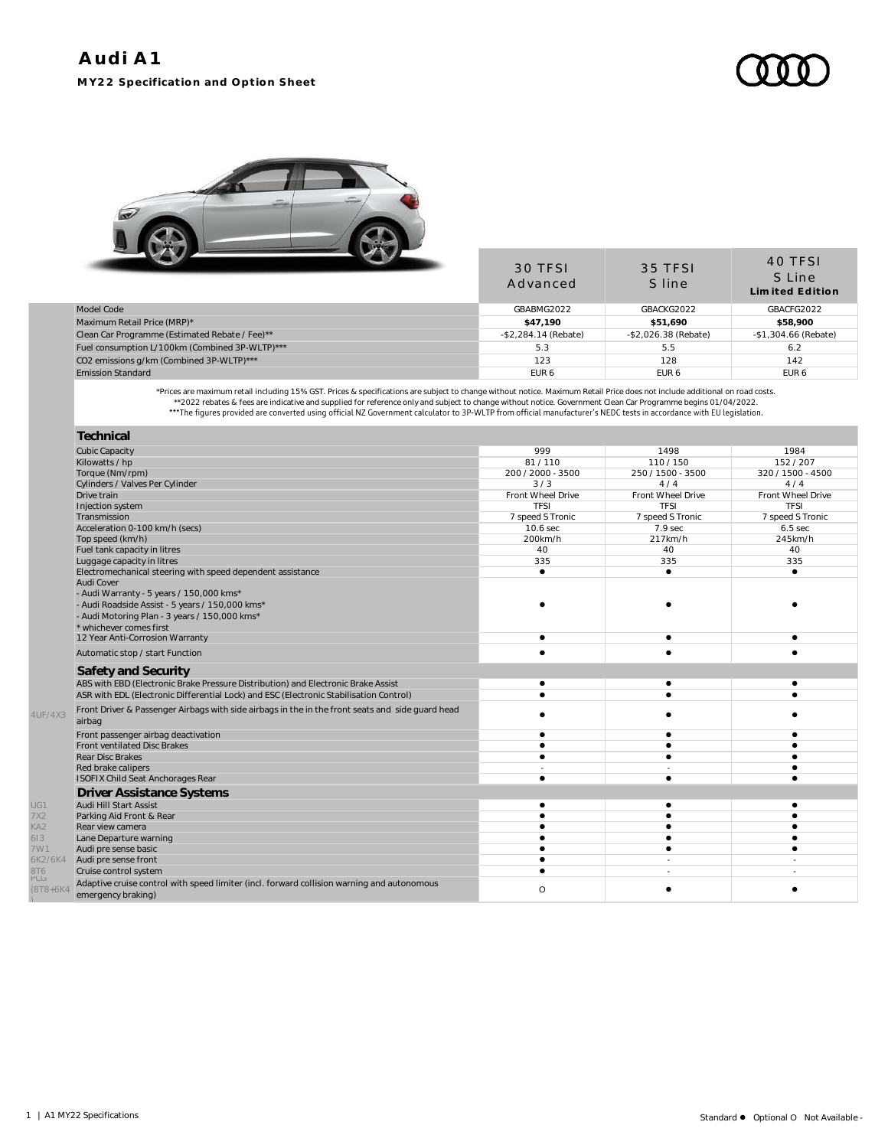## **Audi A1 MY22 Specification and Option Sheet**



|                                                | 30 TFSI<br>Advanced     | 35 TFSI<br>S line     | 40 TFSI<br>S Line<br>Limited Edition |
|------------------------------------------------|-------------------------|-----------------------|--------------------------------------|
| Model Code                                     | GBABMG2022              | GBACKG2022            | GBACFG2022                           |
| Maximum Retail Price (MRP)*                    | \$47.190                | \$51,690              | \$58,900                             |
| Clean Car Programme (Estimated Rebate / Fee)** | $-$ \$2,284.14 (Rebate) | $-$2,026.38$ (Rebate) | -\$1,304.66 (Rebate)                 |
| Fuel consumption L/100km (Combined 3P-WLTP)*** | 5.3                     | 5.5                   | 6.2                                  |
| CO2 emissions g/km (Combined 3P-WLTP)***       | 123                     | 128                   | 142                                  |
| <b>Emission Standard</b>                       | EUR <sub>6</sub>        | EUR <sub>6</sub>      | EUR <sub>6</sub>                     |
|                                                |                         |                       |                                      |

Prices are maximum retail including 15% GST. Prices & specifications are subject to change without notice. Maximum Retail Price does not include additional on road costs.<br>2022 rebates & fees are indicative and supplied for

|                      | Technical                                                                                        |                   |                   |                   |
|----------------------|--------------------------------------------------------------------------------------------------|-------------------|-------------------|-------------------|
|                      | <b>Cubic Capacity</b>                                                                            | 999               | 1498              | 1984              |
|                      | Kilowatts / hp                                                                                   | 81/110            | 110/150           | 152/207           |
|                      | Torque (Nm/rpm)                                                                                  | 200 / 2000 - 3500 | 250 / 1500 - 3500 | 320 / 1500 - 4500 |
|                      | Cylinders / Valves Per Cylinder                                                                  | 3/3               | 4/4               | 4/4               |
|                      | Drive train                                                                                      | Front Wheel Drive | Front Wheel Drive | Front Wheel Drive |
|                      | Injection system                                                                                 | <b>TFSI</b>       | <b>TFSI</b>       | <b>TFSI</b>       |
|                      | Transmission                                                                                     | 7 speed S Tronic  | 7 speed S Tronic  | 7 speed S Tronic  |
|                      | Acceleration 0-100 km/h (secs)                                                                   | 10.6 sec          | 7.9 sec           | $6.5$ sec         |
|                      | Top speed (km/h)                                                                                 | 200km/h           | 217km/h           | 245km/h           |
|                      | Fuel tank capacity in litres                                                                     | 40                | 40                | 40                |
|                      | Luggage capacity in litres                                                                       | 335               | 335               | 335               |
|                      | Electromechanical steering with speed dependent assistance                                       |                   | ٠                 |                   |
|                      | Audi Cover                                                                                       |                   |                   |                   |
|                      | - Audi Warranty - 5 years / 150,000 kms*                                                         |                   |                   |                   |
|                      | - Audi Roadside Assist - 5 years / 150,000 kms*                                                  |                   |                   |                   |
|                      | - Audi Motoring Plan - 3 years / 150,000 kms*                                                    |                   |                   |                   |
|                      | * whichever comes first                                                                          |                   |                   |                   |
|                      | 12 Year Anti-Corrosion Warranty                                                                  |                   | ٠                 |                   |
|                      | Automatic stop / start Function                                                                  |                   |                   |                   |
|                      | Safety and Security                                                                              |                   |                   |                   |
|                      | ABS with EBD (Electronic Brake Pressure Distribution) and Electronic Brake Assist                |                   | ٠                 |                   |
|                      | ASR with EDL (Electronic Differential Lock) and ESC (Electronic Stabilisation Control)           |                   |                   |                   |
|                      | Front Driver & Passenger Airbags with side airbags in the in the front seats and side guard head |                   |                   |                   |
| 4UF/4X3              | airbag                                                                                           |                   |                   |                   |
|                      |                                                                                                  |                   |                   |                   |
|                      | Front passenger airbag deactivation                                                              |                   |                   |                   |
|                      | <b>Front ventilated Disc Brakes</b>                                                              |                   |                   |                   |
|                      | Rear Disc Brakes                                                                                 |                   |                   |                   |
|                      | Red brake calipers                                                                               |                   |                   |                   |
|                      | ISOFIX Child Seat Anchorages Rear                                                                | ٠                 | $\bullet$         |                   |
|                      | <b>Driver Assistance Systems</b>                                                                 |                   |                   |                   |
| UG1                  | Audi Hill Start Assist                                                                           |                   |                   |                   |
| 7X2                  | Parking Aid Front & Rear                                                                         |                   |                   |                   |
| KA <sub>2</sub>      | Rear view camera                                                                                 |                   |                   |                   |
| 613                  | Lane Departure warning                                                                           |                   |                   |                   |
| 7W1                  | Audi pre sense basic                                                                             |                   |                   |                   |
| 6K2/6K4              | Audi pre sense front                                                                             |                   |                   |                   |
| 8T6                  | Cruise control system                                                                            |                   |                   |                   |
| PUG<br>$(8T8 + 6K4)$ | Adaptive cruise control with speed limiter (incl. forward collision warning and autonomous       | $\circ$           |                   |                   |
|                      | emergency braking)                                                                               |                   |                   |                   |

)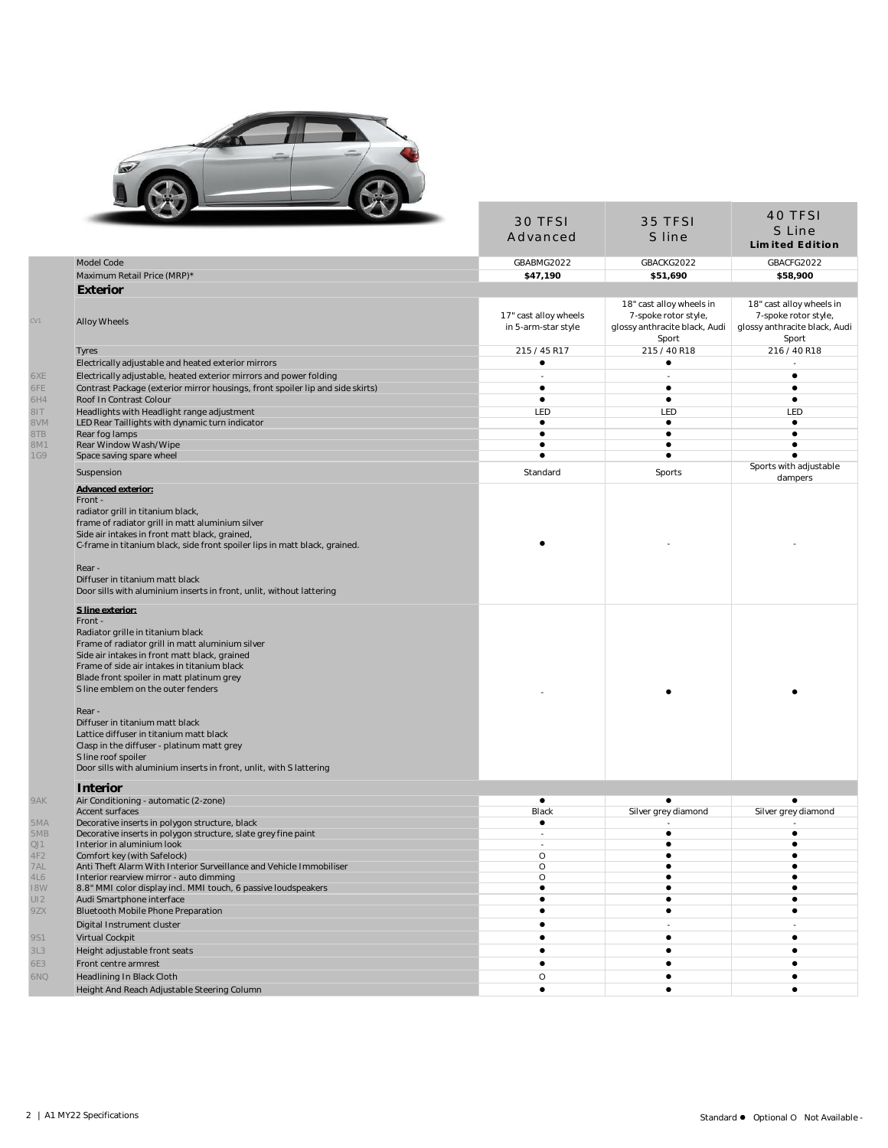

| Model Code<br>Maximum Retail Price (MRP)*<br>Exterior<br>Alloy Wheels<br>Tyres<br>Electrically adjustable and heated exterior mirrors<br>Electrically adjustable, heated exterior mirrors and power folding<br>Contrast Package (exterior mirror housings, front spoiler lip and side skirts)<br>Roof In Contrast Colour<br>Headlights with Headlight range adjustment<br>LED Rear Taillights with dynamic turn indicator | Advanced<br>GBABMG2022<br>\$47,190<br>17" cast alloy wheels<br>in 5-arm-star style<br>215 / 45 R17<br>٠ | S line<br>GBACKG2022<br>\$51,690<br>18" cast alloy wheels in<br>7-spoke rotor style,<br>glossy anthracite black, Audi | S Line<br><b>Limited Edition</b><br>GBACFG2022<br>\$58,900<br>18" cast alloy wheels in<br>7-spoke rotor style, |
|---------------------------------------------------------------------------------------------------------------------------------------------------------------------------------------------------------------------------------------------------------------------------------------------------------------------------------------------------------------------------------------------------------------------------|---------------------------------------------------------------------------------------------------------|-----------------------------------------------------------------------------------------------------------------------|----------------------------------------------------------------------------------------------------------------|
|                                                                                                                                                                                                                                                                                                                                                                                                                           |                                                                                                         |                                                                                                                       |                                                                                                                |
|                                                                                                                                                                                                                                                                                                                                                                                                                           |                                                                                                         |                                                                                                                       |                                                                                                                |
|                                                                                                                                                                                                                                                                                                                                                                                                                           |                                                                                                         |                                                                                                                       |                                                                                                                |
|                                                                                                                                                                                                                                                                                                                                                                                                                           |                                                                                                         |                                                                                                                       |                                                                                                                |
|                                                                                                                                                                                                                                                                                                                                                                                                                           |                                                                                                         | Sport                                                                                                                 | glossy anthracite black, Audi<br>Sport                                                                         |
|                                                                                                                                                                                                                                                                                                                                                                                                                           |                                                                                                         | 215 / 40 R18                                                                                                          | 216 / 40 R18                                                                                                   |
|                                                                                                                                                                                                                                                                                                                                                                                                                           |                                                                                                         | $\bullet$                                                                                                             |                                                                                                                |
|                                                                                                                                                                                                                                                                                                                                                                                                                           |                                                                                                         |                                                                                                                       | $\bullet$                                                                                                      |
|                                                                                                                                                                                                                                                                                                                                                                                                                           | $\bullet$                                                                                               | $\bullet$                                                                                                             | $\bullet$                                                                                                      |
|                                                                                                                                                                                                                                                                                                                                                                                                                           | $\bullet$                                                                                               | $\bullet$                                                                                                             | $\bullet$                                                                                                      |
|                                                                                                                                                                                                                                                                                                                                                                                                                           | LED                                                                                                     | LED                                                                                                                   | LED                                                                                                            |
|                                                                                                                                                                                                                                                                                                                                                                                                                           | $\bullet$                                                                                               | $\bullet$                                                                                                             | $\bullet$                                                                                                      |
| Rear fog lamps                                                                                                                                                                                                                                                                                                                                                                                                            | $\bullet$                                                                                               | $\bullet$                                                                                                             | $\bullet$                                                                                                      |
| Rear Window Wash/Wipe                                                                                                                                                                                                                                                                                                                                                                                                     | $\bullet$                                                                                               | $\bullet$                                                                                                             | $\bullet$                                                                                                      |
| Space saving spare wheel                                                                                                                                                                                                                                                                                                                                                                                                  | $\bullet$                                                                                               | $\bullet$                                                                                                             | $\bullet$                                                                                                      |
| Suspension                                                                                                                                                                                                                                                                                                                                                                                                                | Standard                                                                                                | Sports                                                                                                                | Sports with adjustable                                                                                         |
|                                                                                                                                                                                                                                                                                                                                                                                                                           |                                                                                                         |                                                                                                                       | dampers                                                                                                        |
| Advanced exterior:<br>Front -<br>radiator grill in titanium black,<br>frame of radiator grill in matt aluminium silver<br>Side air intakes in front matt black, grained,<br>C-frame in titanium black, side front spoiler lips in matt black, grained.                                                                                                                                                                    |                                                                                                         |                                                                                                                       |                                                                                                                |
| Rear -<br>Diffuser in titanium matt black<br>Door sills with aluminium inserts in front, unlit, without lattering                                                                                                                                                                                                                                                                                                         |                                                                                                         |                                                                                                                       |                                                                                                                |
| S line exterior:<br>Front -<br>Radiator grille in titanium black<br>Frame of radiator grill in matt aluminium silver<br>Side air intakes in front matt black, grained<br>Frame of side air intakes in titanium black<br>Blade front spoiler in matt platinum grey<br>S line emblem on the outer fenders                                                                                                                   |                                                                                                         |                                                                                                                       |                                                                                                                |
| Rear -<br>Diffuser in titanium matt black<br>Lattice diffuser in titanium matt black<br>Clasp in the diffuser - platinum matt grey<br>S line roof spoiler<br>Door sills with aluminium inserts in front, unlit, with S lattering                                                                                                                                                                                          |                                                                                                         |                                                                                                                       |                                                                                                                |
| Interior                                                                                                                                                                                                                                                                                                                                                                                                                  |                                                                                                         |                                                                                                                       |                                                                                                                |
| Air Conditioning - automatic (2-zone)                                                                                                                                                                                                                                                                                                                                                                                     | $\bullet$                                                                                               | $\bullet$                                                                                                             | $\bullet$                                                                                                      |
| Accent surfaces                                                                                                                                                                                                                                                                                                                                                                                                           | Black                                                                                                   | Silver grey diamond                                                                                                   | Silver grey diamond                                                                                            |
| Decorative inserts in polygon structure, black                                                                                                                                                                                                                                                                                                                                                                            | $\bullet$                                                                                               |                                                                                                                       |                                                                                                                |
| Decorative inserts in polygon structure, slate grey fine paint                                                                                                                                                                                                                                                                                                                                                            | $\overline{\phantom{a}}$                                                                                | $\bullet$                                                                                                             | $\bullet$                                                                                                      |
| Interior in aluminium look                                                                                                                                                                                                                                                                                                                                                                                                | $\sim$                                                                                                  | $\bullet$                                                                                                             | $\bullet$                                                                                                      |
| Comfort key (with Safelock)                                                                                                                                                                                                                                                                                                                                                                                               | Ő                                                                                                       |                                                                                                                       |                                                                                                                |
| Anti Theft Alarm With Interior Surveillance and Vehicle Immobiliser                                                                                                                                                                                                                                                                                                                                                       | O                                                                                                       | $\bullet$                                                                                                             | $\bullet$                                                                                                      |
| Interior rearview mirror - auto dimming                                                                                                                                                                                                                                                                                                                                                                                   | O                                                                                                       | $\bullet$                                                                                                             | $\bullet$                                                                                                      |
| 8.8" MMI color display incl. MMI touch, 6 passive loudspeakers                                                                                                                                                                                                                                                                                                                                                            | $\bullet$                                                                                               | $\bullet$                                                                                                             | $\bullet$                                                                                                      |
| Audi Smartphone interface                                                                                                                                                                                                                                                                                                                                                                                                 | $\bullet$                                                                                               | ٠                                                                                                                     | ٠                                                                                                              |
| Bluetooth Mobile Phone Preparation                                                                                                                                                                                                                                                                                                                                                                                        | $\bullet$                                                                                               | $\bullet$                                                                                                             | $\bullet$                                                                                                      |
| Digital Instrument cluster                                                                                                                                                                                                                                                                                                                                                                                                | ٠                                                                                                       |                                                                                                                       |                                                                                                                |
| Virtual Cockpit                                                                                                                                                                                                                                                                                                                                                                                                           | $\bullet$                                                                                               | $\bullet$                                                                                                             | $\bullet$                                                                                                      |
| Height adjustable front seats                                                                                                                                                                                                                                                                                                                                                                                             | ٠                                                                                                       | $\bullet$                                                                                                             | $\bullet$                                                                                                      |
| Front centre armrest                                                                                                                                                                                                                                                                                                                                                                                                      | $\bullet$                                                                                               | $\bullet$                                                                                                             | $\bullet$                                                                                                      |
| Headlining In Black Cloth                                                                                                                                                                                                                                                                                                                                                                                                 | O                                                                                                       | $\bullet$                                                                                                             | ٠                                                                                                              |
| Height And Reach Adjustable Steering Column                                                                                                                                                                                                                                                                                                                                                                               | $\bullet$                                                                                               | $\bullet$                                                                                                             | $\bullet$                                                                                                      |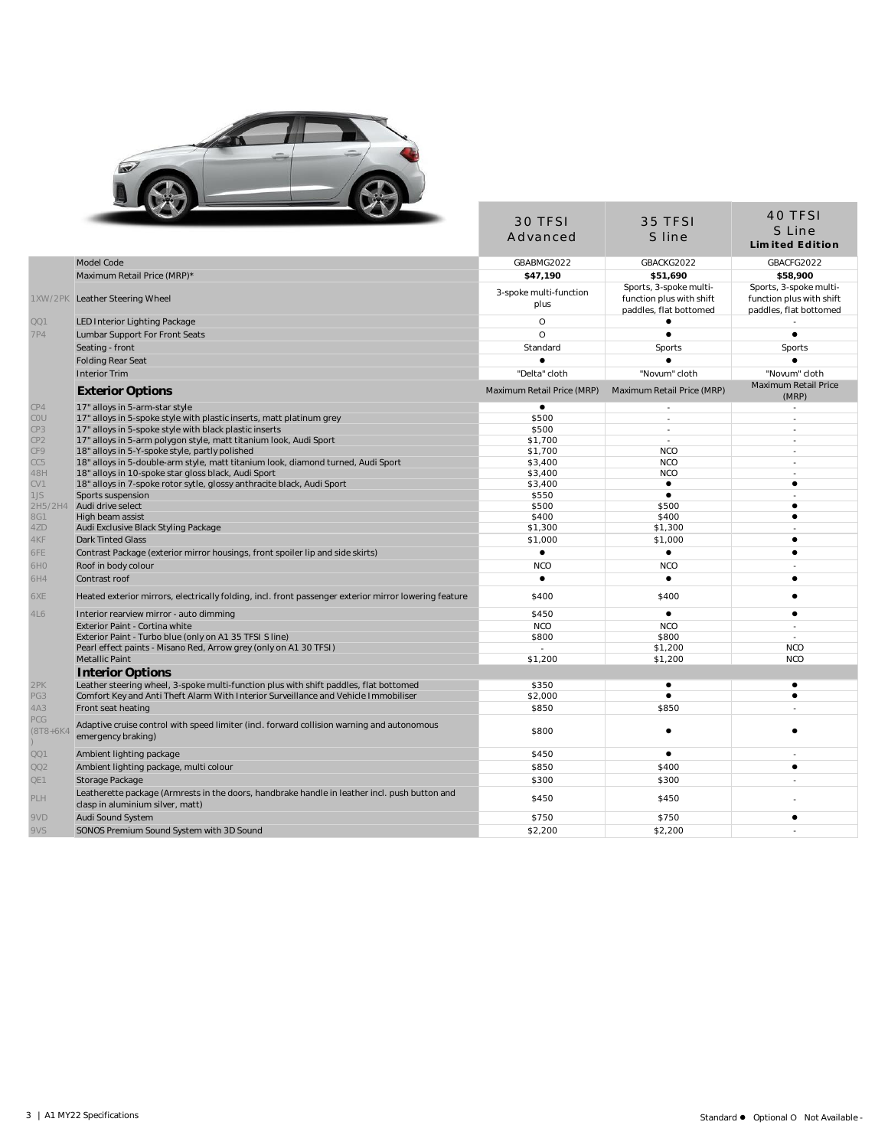

|                            | <b>COLLEGE</b>                                                                                                                    | 30 TFSI<br>Advanced            | 35 TFSI<br>S line                                                            | 40 TFSI<br>S Line<br><b>Limited Edition</b>                                  |
|----------------------------|-----------------------------------------------------------------------------------------------------------------------------------|--------------------------------|------------------------------------------------------------------------------|------------------------------------------------------------------------------|
|                            |                                                                                                                                   |                                |                                                                              |                                                                              |
|                            | Model Code                                                                                                                        | GBABMG2022                     | GBACKG2022                                                                   | GBACFG2022                                                                   |
|                            | Maximum Retail Price (MRP)*                                                                                                       | \$47,190                       | \$51,690                                                                     | \$58,900                                                                     |
|                            | 1XW/2PK Leather Steering Wheel                                                                                                    | 3-spoke multi-function<br>plus | Sports, 3-spoke multi-<br>function plus with shift<br>paddles, flat bottomed | Sports, 3-spoke multi-<br>function plus with shift<br>paddles, flat bottomed |
| QQ1                        | LED Interior Lighting Package                                                                                                     | $\circ$                        | $\bullet$                                                                    |                                                                              |
| <b>7P4</b>                 | Lumbar Support For Front Seats                                                                                                    | $\Omega$                       | $\bullet$                                                                    | $\bullet$                                                                    |
|                            | Seating - front                                                                                                                   | Standard                       | Sports                                                                       | Sports                                                                       |
|                            | <b>Folding Rear Seat</b>                                                                                                          |                                |                                                                              |                                                                              |
|                            | <b>Interior Trim</b>                                                                                                              | "Delta" cloth                  | "Novum" cloth                                                                | "Novum" cloth                                                                |
|                            | <b>Exterior Options</b>                                                                                                           | Maximum Retail Price (MRP)     | Maximum Retail Price (MRP)                                                   | Maximum Retail Price<br>(MRP)                                                |
| CP4                        | 17" alloys in 5-arm-star style                                                                                                    | $\bullet$                      | $\overline{\phantom{a}}$                                                     | $\sim$                                                                       |
| COU                        | 17" alloys in 5-spoke style with plastic inserts, matt platinum grey                                                              | \$500                          | $\overline{a}$                                                               | $\overline{a}$                                                               |
| CP3                        | 17" alloys in 5-spoke style with black plastic inserts                                                                            | \$500                          | $\sim$                                                                       |                                                                              |
| CP <sub>2</sub>            | 17" alloys in 5-arm polygon style, matt titanium look, Audi Sport                                                                 | \$1,700                        | $\overline{\phantom{a}}$                                                     |                                                                              |
| CF9                        | 18" alloys in 5-Y-spoke style, partly polished                                                                                    | \$1,700                        | <b>NCO</b>                                                                   |                                                                              |
| CC5                        | 18" alloys in 5-double-arm style, matt titanium look, diamond turned, Audi Sport                                                  | \$3,400                        | <b>NCO</b>                                                                   |                                                                              |
| 48H                        | 18" alloys in 10-spoke star gloss black, Audi Sport                                                                               | \$3,400                        | <b>NCO</b><br>$\bullet$                                                      | $\sim$<br>$\bullet$                                                          |
| CV1<br>1JS                 | 18" alloys in 7-spoke rotor sytle, glossy anthracite black, Audi Sport                                                            | \$3,400                        | $\bullet$                                                                    |                                                                              |
| 2H5/2H4                    | Sports suspension<br>Audi drive select                                                                                            | \$550<br>\$500                 | \$500                                                                        | $\bullet$                                                                    |
|                            | High beam assist                                                                                                                  | \$400                          | \$400                                                                        | ٠                                                                            |
| 8G1<br>4ZD                 | Audi Exclusive Black Styling Package                                                                                              | \$1,300                        | \$1,300                                                                      |                                                                              |
|                            | <b>Dark Tinted Glass</b>                                                                                                          | \$1,000                        | \$1,000                                                                      | ٠                                                                            |
|                            | Contrast Package (exterior mirror housings, front spoiler lip and side skirts)                                                    | $\bullet$                      | $\bullet$                                                                    | $\bullet$                                                                    |
| 6H0                        | Roof in body colour                                                                                                               | <b>NCO</b>                     | <b>NCO</b>                                                                   |                                                                              |
| 6H4                        | Contrast roof                                                                                                                     | $\bullet$                      | $\bullet$                                                                    | $\bullet$                                                                    |
|                            | Heated exterior mirrors, electrically folding, incl. front passenger exterior mirror lowering feature                             | \$400                          | \$400                                                                        | ٠                                                                            |
|                            |                                                                                                                                   |                                |                                                                              | $\bullet$                                                                    |
|                            | Interior rearview mirror - auto dimming                                                                                           | \$450<br><b>NCO</b>            | $\bullet$<br><b>NCO</b>                                                      | $\sim$                                                                       |
|                            | Exterior Paint - Cortina white<br>Exterior Paint - Turbo blue (only on A1 35 TFSI S line)                                         | \$800                          | \$800                                                                        | $\sim$                                                                       |
|                            | Pearl effect paints - Misano Red, Arrow grey (only on A1 30 TFSI)                                                                 | ÷                              | \$1.200                                                                      | <b>NCO</b>                                                                   |
|                            | Metallic Paint                                                                                                                    | \$1,200                        | \$1,200                                                                      | <b>NCO</b>                                                                   |
|                            | Interior Options                                                                                                                  |                                |                                                                              |                                                                              |
|                            | Leather steering wheel, 3-spoke multi-function plus with shift paddles, flat bottomed                                             | \$350                          | $\bullet$                                                                    | $\bullet$                                                                    |
|                            | Comfort Key and Anti Theft Alarm With Interior Surveillance and Vehicle Immobiliser                                               | \$2,000                        |                                                                              | $\bullet$                                                                    |
| PG3<br>4A3                 | Front seat heating                                                                                                                | \$850                          | \$850                                                                        |                                                                              |
| <b>PCG</b><br>$(8T8 + 6K)$ | Adaptive cruise control with speed limiter (incl. forward collision warning and autonomous<br>emergency braking)                  | \$800                          |                                                                              |                                                                              |
| QQ1                        | Ambient lighting package                                                                                                          | \$450                          | ٠                                                                            |                                                                              |
|                            | Ambient lighting package, multi colour                                                                                            | \$850                          | \$400                                                                        | $\bullet$                                                                    |
| QQ2                        | Storage Package                                                                                                                   | \$300                          | \$300                                                                        |                                                                              |
|                            | Leatherette package (Armrests in the doors, handbrake handle in leather incl. push button and<br>clasp in aluminium silver, matt) | \$450                          | \$450                                                                        |                                                                              |
|                            | Audi Sound System                                                                                                                 | \$750                          | \$750                                                                        | ٠                                                                            |
| 9VD                        | SONOS Premium Sound System with 3D Sound                                                                                          | \$2,200                        | \$2,200                                                                      |                                                                              |
| 9VS                        |                                                                                                                                   |                                |                                                                              |                                                                              |